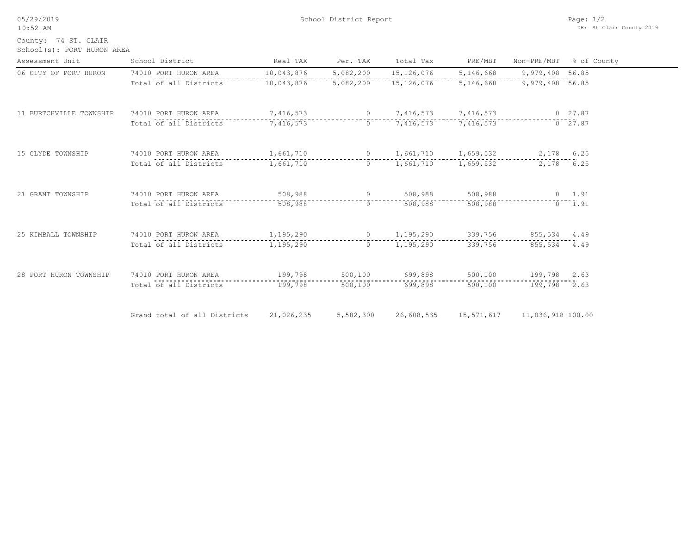05/29/2019 10:52 AM

County: 74 ST. CLAIR

| School(s): PORT HURON AREA |  |  |  |
|----------------------------|--|--|--|
|----------------------------|--|--|--|

| Assessment Unit         | School District                                     | Real TAX   | Per. TAX       | Total Tax                        | PRE/MBT         | Non-PRE/MBT       | % of County    |
|-------------------------|-----------------------------------------------------|------------|----------------|----------------------------------|-----------------|-------------------|----------------|
| 06 CITY OF PORT HURON   | 74010 PORT HURON AREA                               | 10,043,876 | 5,082,200      | 15,126,076                       | 5,146,668       | 9,979,408 56.85   |                |
|                         | Total of all Districts                              | 10,043,876 | 5,082,200      | 15,126,076                       | 5,146,668       | 9,979,408 56.85   |                |
| 11 BURTCHVILLE TOWNSHIP | 74010 PORT HURON AREA                               | 7,416,573  |                | 0 $7,416,573$                    | 7,416,573       |                   | $0$ 27.87      |
|                         | Total of all Districts                              | 7,416,573  |                | 0 $7,416,573$                    | 7,416,573       |                   | $0$ 27.87      |
| 15 CLYDE TOWNSHIP       | 74010 PORT HURON AREA 1,661,710                     |            |                | 0 1,661,710 1,659,532 2,178 6.25 |                 |                   |                |
|                         | Total of all Districts                              | 1,661,710  | $\Omega$       | 1,661,710                        | 1,659,532       |                   | 2,178 6.25     |
| 21 GRANT TOWNSHIP       | 74010 PORT HURON AREA                               | 508,988    | $\overline{0}$ |                                  | 508,988 508,988 |                   | $0 \t 1.91$    |
|                         | Total of all Districts                              | 508,988    | $\Omega$       | 508,988                          | 508,988         |                   | $0 \quad 1.91$ |
| 25 KIMBALL TOWNSHIP     | 74010 PORT HURON AREA 1,195,290 0 1,195,290 339,756 |            |                |                                  |                 | 855,534 4.49      |                |
|                         | Total of all Districts                              | 1,195,290  |                | $0 \qquad 1,195,290$             | 339,756         | 855,534 4.49      |                |
| 28 PORT HURON TOWNSHIP  | 74010 PORT HURON AREA                               | 199,798    | 500,100        | 699,898                          | 500,100         | 199,798 2.63      |                |
|                         | Total of all Districts                              | 199,798    | 500,100        | 699,898                          | 500,100         | 199,798 2.63      |                |
|                         | Grand total of all Districts                        | 21,026,235 | 5,582,300      | 26,608,535                       | 15,571,617      | 11,036,918 100.00 |                |